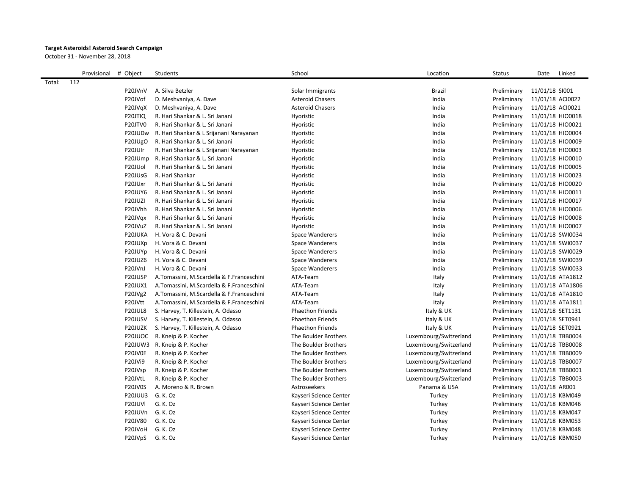## **Target Asteroids! Asteroid Search Campaign**

October 31 - November 28, 2018

|        | Provisional | # Object             | Students                                  | School                  | Location               | <b>Status</b> | Linked<br>Date   |  |
|--------|-------------|----------------------|-------------------------------------------|-------------------------|------------------------|---------------|------------------|--|
| Total: | 112         |                      |                                           |                         |                        |               |                  |  |
|        |             | P20JVnV              | A. Silva Betzler                          | Solar Immigrants        | <b>Brazil</b>          | Preliminary   | 11/01/18 SI001   |  |
|        |             | P20JVof              | D. Meshvaniya, A. Dave                    | <b>Asteroid Chasers</b> | India                  | Preliminary   | 11/01/18 ACI0022 |  |
|        |             | P20JVqX              | D. Meshvaniya, A. Dave                    | <b>Asteroid Chasers</b> | India                  | Preliminary   | 11/01/18 ACI0021 |  |
|        |             | P20JTIQ              | R. Hari Shankar & L. Sri Janani           | Hyoristic               | India                  | Preliminary   | 11/01/18 HIO0018 |  |
|        |             | P20JTV0              | R. Hari Shankar & L. Sri Janani           | Hyoristic               | India                  | Preliminary   | 11/01/18 HIO0021 |  |
|        |             | P20JUDw              | R. Hari Shankar & L Srijanani Narayanan   | Hyoristic               | India                  | Preliminary   | 11/01/18 HIO0004 |  |
|        |             | P20JUgO              | R. Hari Shankar & L. Sri Janani           | Hyoristic               | India                  | Preliminary   | 11/01/18 HIO0009 |  |
|        |             | P20JUIr              | R. Hari Shankar & L Srijanani Narayanan   | Hyoristic               | India                  | Preliminary   | 11/01/18 HIO0003 |  |
|        |             | P20JUmp              | R. Hari Shankar & L. Sri Janani           | Hyoristic               | India                  | Preliminary   | 11/01/18 HIO0010 |  |
|        |             | P <sub>20</sub> JUol | R. Hari Shankar & L. Sri Janani           | Hyoristic               | India                  | Preliminary   | 11/01/18 HIO0005 |  |
|        |             | P20JUsG              | R. Hari Shankar                           | Hyoristic               | India                  | Preliminary   | 11/01/18 HIO0023 |  |
|        |             | P20JUxr              | R. Hari Shankar & L. Sri Janani           | Hyoristic               | India                  | Preliminary   | 11/01/18 HIO0020 |  |
|        |             | P20JUY6              | R. Hari Shankar & L. Sri Janani           | Hyoristic               | India                  | Preliminary   | 11/01/18 HIO0011 |  |
|        |             | P20JUZI              | R. Hari Shankar & L. Sri Janani           | Hyoristic               | India                  | Preliminary   | 11/01/18 HIO0017 |  |
|        |             | P20JVhh              | R. Hari Shankar & L. Sri Janani           | Hyoristic               | India                  | Preliminary   | 11/01/18 HIO0006 |  |
|        |             | P20JVqx              | R. Hari Shankar & L. Sri Janani           | Hyoristic               | India                  | Preliminary   | 11/01/18 HIO0008 |  |
|        |             | P20JVuZ              | R. Hari Shankar & L. Sri Janani           | Hyoristic               | India                  | Preliminary   | 11/01/18 HIO0007 |  |
|        |             | P20JUKA              | H. Vora & C. Devani                       | Space Wanderers         | India                  | Preliminary   | 11/01/18 SWI0034 |  |
|        |             | P20JUXp              | H. Vora & C. Devani                       | Space Wanderers         | India                  | Preliminary   | 11/01/18 SWI0037 |  |
|        |             | P20JUYp              | H. Vora & C. Devani                       | Space Wanderers         | India                  | Preliminary   | 11/01/18 SWI0029 |  |
|        |             | P20JUZ6              | H. Vora & C. Devani                       | <b>Space Wanderers</b>  | India                  | Preliminary   | 11/01/18 SWI0039 |  |
|        |             | P20JVnJ              | H. Vora & C. Devani                       | Space Wanderers         | India                  | Preliminary   | 11/01/18 SWI0033 |  |
|        |             | P20JUSP              | A.Tomassini, M.Scardella & F.Franceschini | ATA-Team                | Italy                  | Preliminary   | 11/01/18 ATA1812 |  |
|        |             | P20JUX1              | A.Tomassini, M.Scardella & F.Franceschini | ATA-Team                | Italy                  | Preliminary   | 11/01/18 ATA1806 |  |
|        |             | P20JVg2              | A.Tomassini, M.Scardella & F.Franceschini | ATA-Team                | Italy                  | Preliminary   | 11/01/18 ATA1810 |  |
|        |             | P20JVtt              | A.Tomassini, M.Scardella & F.Franceschini | ATA-Team                | Italy                  | Preliminary   | 11/01/18 ATA1811 |  |
|        |             | P20JUL8              | S. Harvey, T. Killestein, A. Odasso       | <b>Phaethon Friends</b> | Italy & UK             | Preliminary   | 11/01/18 SET1131 |  |
|        |             | P20JUSV              | S. Harvey, T. Killestein, A. Odasso       | <b>Phaethon Friends</b> | Italy & UK             | Preliminary   | 11/01/18 SET0941 |  |
|        |             | P20JUZK              | S. Harvey, T. Killestein, A. Odasso       | <b>Phaethon Friends</b> | Italy & UK             | Preliminary   | 11/01/18 SET0921 |  |
|        |             | P20JUOC              | R. Kneip & P. Kocher                      | The Boulder Brothers    | Luxembourg/Switzerland | Preliminary   | 11/01/18 TBB0004 |  |
|        |             |                      | P20JUW3 R. Kneip & P. Kocher              | The Boulder Brothers    | Luxembourg/Switzerland | Preliminary   | 11/01/18 TBB0008 |  |
|        |             | P20JV0E              | R. Kneip & P. Kocher                      | The Boulder Brothers    | Luxembourg/Switzerland | Preliminary   | 11/01/18 TBB0009 |  |
|        |             | P20JVi9              | R. Kneip & P. Kocher                      | The Boulder Brothers    | Luxembourg/Switzerland | Preliminary   | 11/01/18 TBB0007 |  |
|        |             | P20JVsp              | R. Kneip & P. Kocher                      | The Boulder Brothers    | Luxembourg/Switzerland | Preliminary   | 11/01/18 TBB0001 |  |
|        |             | P20JVtL              | R. Kneip & P. Kocher                      | The Boulder Brothers    | Luxembourg/Switzerland | Preliminary   | 11/01/18 TBB0003 |  |
|        |             | P20JV0S              | A. Moreno & R. Brown                      | Astroseekers            | Panama & USA           | Preliminary   | 11/01/18 AR001   |  |
|        |             | <b>P20JUU3</b>       | G. K. Oz                                  | Kayseri Science Center  | Turkey                 | Preliminary   | 11/01/18 KBM049  |  |
|        |             | P20JUVI              | G.K.Oz                                    | Kayseri Science Center  | Turkey                 | Preliminary   | 11/01/18 KBM046  |  |
|        |             | P20JUVn              | G. K. Oz                                  | Kayseri Science Center  | Turkey                 | Preliminary   | 11/01/18 KBM047  |  |
|        |             | P20JV80              | G. K. Oz                                  | Kayseri Science Center  | Turkey                 | Preliminary   | 11/01/18 KBM053  |  |
|        |             | P20JVoH              | G.K.Oz                                    | Kayseri Science Center  | Turkey                 | Preliminary   | 11/01/18 KBM048  |  |
|        |             | P20JVpS              | G. K. Oz                                  | Kayseri Science Center  | Turkey                 | Preliminary   | 11/01/18 KBM050  |  |
|        |             |                      |                                           |                         |                        |               |                  |  |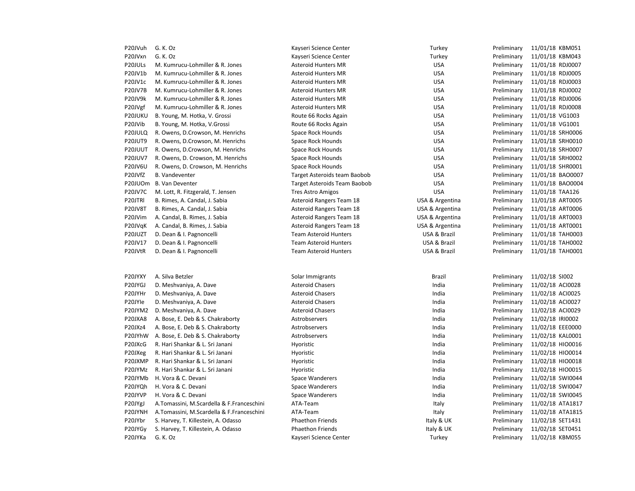| P20JVuh             | G. K. Oz                                  | Kayseri Science Center              | Turkey          | Preliminary | 11/01/18 KBM051  |
|---------------------|-------------------------------------------|-------------------------------------|-----------------|-------------|------------------|
| P20JVxn             | G. K. Oz                                  | Kayseri Science Center              | Turkey          | Preliminary | 11/01/18 KBM043  |
| P20JULs             | M. Kumrucu-Lohmiller & R. Jones           | <b>Asteroid Hunters MR</b>          | <b>USA</b>      | Preliminary | 11/01/18 RDJ0007 |
| P20JV1b             | M. Kumrucu-Lohmiller & R. Jones           | <b>Asteroid Hunters MR</b>          | <b>USA</b>      | Preliminary | 11/01/18 RDJ0005 |
| P20JV1c             | M. Kumrucu-Lohmiller & R. Jones           | <b>Asteroid Hunters MR</b>          | <b>USA</b>      | Preliminary | 11/01/18 RDJ0003 |
| P20JV7B             | M. Kumrucu-Lohmiller & R. Jones           | <b>Asteroid Hunters MR</b>          | <b>USA</b>      | Preliminary | 11/01/18 RDJ0002 |
| P20JV9k             | M. Kumrucu-Lohmiller & R. Jones           | <b>Asteroid Hunters MR</b>          | <b>USA</b>      | Preliminary | 11/01/18 RDJ0006 |
| P20JVgf             | M. Kumrucu-Lohmiller & R. Jones           | <b>Asteroid Hunters MR</b>          | <b>USA</b>      | Preliminary | 11/01/18 RDJ0008 |
| P20JUKU             | B. Young, M. Hotka, V. Grossi             | Route 66 Rocks Again                | <b>USA</b>      | Preliminary | 11/01/18 VG1003  |
| P20JVib             | B. Young, M. Hotka, V. Grossi             | Route 66 Rocks Again                | <b>USA</b>      | Preliminary | 11/01/18 VG1001  |
| P20JULQ             | R. Owens, D.Crowson, M. Henrichs          | Space Rock Hounds                   | <b>USA</b>      | Preliminary | 11/01/18 SRH0006 |
| <b>P20JUT9</b>      | R. Owens, D. Crowson, M. Henrichs         | <b>Space Rock Hounds</b>            | <b>USA</b>      | Preliminary | 11/01/18 SRH0010 |
| P20JUUT             | R. Owens, D.Crowson, M. Henrichs          | Space Rock Hounds                   | <b>USA</b>      | Preliminary | 11/01/18 SRH0007 |
| <b>P20JUV7</b>      | R. Owens, D. Crowson, M. Henrichs         | Space Rock Hounds                   | <b>USA</b>      | Preliminary | 11/01/18 SRH0002 |
| P20JV6U             | R. Owens, D. Crowson, M. Henrichs         | Space Rock Hounds                   | <b>USA</b>      | Preliminary | 11/01/18 SHR0001 |
| P20JVfZ             | <b>B.</b> Vandeventer                     | Target Asteroids team Baobob        | <b>USA</b>      | Preliminary | 11/01/18 BAO0007 |
| P20JUOm             | <b>B. Van Deventer</b>                    | <b>Target Asteroids Team Baobob</b> | <b>USA</b>      | Preliminary | 11/01/18 BAO0004 |
| P20JV7C             | M. Lott, R. Fitzgerald, T. Jensen         | <b>Tres Astro Amigos</b>            | <b>USA</b>      | Preliminary | 11/01/18 TAA126  |
| P20JTRI             | B. Rimes, A. Candal, J. Sabia             | Asteroid Rangers Team 18            | USA & Argentina | Preliminary | 11/01/18 ART0005 |
| P20JV8T             | B. Rimes, A. Candal, J. Sabia             | <b>Asteroid Rangers Team 18</b>     | USA & Argentina | Preliminary | 11/01/18 ART0006 |
| P20JVim             | A. Candal, B. Rimes, J. Sabia             | <b>Asteroid Rangers Team 18</b>     | USA & Argentina | Preliminary | 11/01/18 ART0003 |
| P20JVqK             | A. Candal, B. Rimes, J. Sabia             | <b>Asteroid Rangers Team 18</b>     | USA & Argentina | Preliminary | 11/01/18 ART0001 |
| P20JUZT             | D. Dean & I. Pagnoncelli                  | <b>Team Asteroid Hunters</b>        | USA & Brazil    | Preliminary | 11/01/18 TAH0003 |
| P20JV17             | D. Dean & I. Pagnoncelli                  | <b>Team Asteroid Hunters</b>        | USA & Brazil    | Preliminary | 11/01/18 TAH0002 |
| P20JVtR             | D. Dean & I. Pagnoncelli                  | <b>Team Asteroid Hunters</b>        | USA & Brazil    | Preliminary | 11/01/18 TAH0001 |
|                     |                                           |                                     |                 |             |                  |
|                     |                                           |                                     |                 |             |                  |
| P20JYXY             | A. Silva Betzler                          | Solar Immigrants                    | Brazil          | Preliminary | 11/02/18 SI002   |
| P20JYGJ             | D. Meshvaniya, A. Dave                    | <b>Asteroid Chasers</b>             | India           | Preliminary | 11/02/18 ACI0028 |
| P20JYHr             | D. Meshvaniya, A. Dave                    | <b>Asteroid Chasers</b>             | India           | Preliminary | 11/02/18 ACI0025 |
| P20JYIe             | D. Meshvaniya, A. Dave                    | <b>Asteroid Chasers</b>             | India           | Preliminary | 11/02/18 ACI0027 |
| P20JYM2             | D. Meshvaniya, A. Dave                    | <b>Asteroid Chasers</b>             | India           | Preliminary | 11/02/18 ACI0029 |
| P20JXA8             | A. Bose, E. Deb & S. Chakraborty          | Astrobservers                       | India           | Preliminary | 11/02/18 IRI0002 |
| P20JXz4             | A. Bose, E. Deb & S. Chakraborty          | Astrobservers                       | India           | Preliminary | 11/02/18 EEE0000 |
| P20JYhW             | A. Bose, E. Deb & S. Chakraborty          | Astrobservers                       | India           | Preliminary | 11/02/18 KAL0001 |
| P20JXcG             | R. Hari Shankar & L. Sri Janani           | Hyoristic                           | India           | Preliminary | 11/02/18 HIO0016 |
| P20JXeg             | R. Hari Shankar & L. Sri Janani           | Hyoristic                           | India           | Preliminary | 11/02/18 HIO0014 |
| P20JXMP             | R. Hari Shankar & L. Sri Janani           | Hyoristic                           | India           | Preliminary | 11/02/18 HIO0018 |
| P20JYMz             | R. Hari Shankar & L. Sri Janani           | Hyoristic                           | India           | Preliminary | 11/02/18 HIO0015 |
| P20JYMb             | H. Vora & C. Devani                       | Space Wanderers                     | India           | Preliminary | 11/02/18 SWI0044 |
| P20JYQh             | H. Vora & C. Devani                       | Space Wanderers                     | India           | Preliminary | 11/02/18 SWI0047 |
| P20JYVP             | H. Vora & C. Devani                       | Space Wanderers                     | India           | Preliminary | 11/02/18 SWI0045 |
| P20JYgJ             | A.Tomassini, M.Scardella & F.Franceschini | ATA-Team                            | Italy           | Preliminary | 11/02/18 ATA1817 |
| P20JYNH             | A.Tomassini, M.Scardella & F.Franceschini | ATA-Team                            | Italy           | Preliminary | 11/02/18 ATA1815 |
| P20JYbr             | S. Harvey, T. Killestein, A. Odasso       | <b>Phaethon Friends</b>             | Italy & UK      | Preliminary | 11/02/18 SET1431 |
| P20JYG <sub>V</sub> | S. Harvey, T. Killestein, A. Odasso       | <b>Phaethon Friends</b>             | Italy & UK      | Preliminary | 11/02/18 SET0451 |
| P20JYKa             | G. K. Oz                                  | Kayseri Science Center              | Turkey          | Preliminary | 11/02/18 KBM055  |